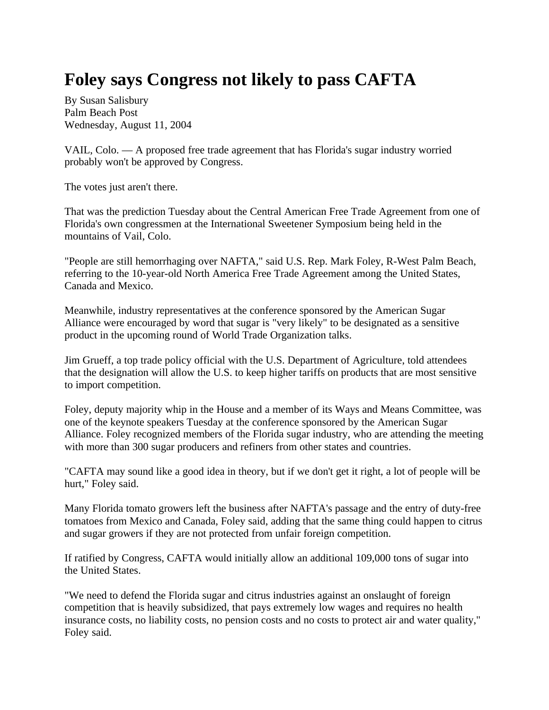## **Foley says Congress not likely to pass CAFTA**

By Susan Salisbury Palm Beach Post Wednesday, August 11, 2004

VAIL, Colo. — A proposed free trade agreement that has Florida's sugar industry worried probably won't be approved by Congress.

The votes just aren't there.

That was the prediction Tuesday about the Central American Free Trade Agreement from one of Florida's own congressmen at the International Sweetener Symposium being held in the mountains of Vail, Colo.

"People are still hemorrhaging over NAFTA," said U.S. Rep. Mark Foley, R-West Palm Beach, referring to the 10-year-old North America Free Trade Agreement among the United States, Canada and Mexico.

Meanwhile, industry representatives at the conference sponsored by the American Sugar Alliance were encouraged by word that sugar is "very likely" to be designated as a sensitive product in the upcoming round of World Trade Organization talks.

Jim Grueff, a top trade policy official with the U.S. Department of Agriculture, told attendees that the designation will allow the U.S. to keep higher tariffs on products that are most sensitive to import competition.

Foley, deputy majority whip in the House and a member of its Ways and Means Committee, was one of the keynote speakers Tuesday at the conference sponsored by the American Sugar Alliance. Foley recognized members of the Florida sugar industry, who are attending the meeting with more than 300 sugar producers and refiners from other states and countries.

"CAFTA may sound like a good idea in theory, but if we don't get it right, a lot of people will be hurt," Foley said.

Many Florida tomato growers left the business after NAFTA's passage and the entry of duty-free tomatoes from Mexico and Canada, Foley said, adding that the same thing could happen to citrus and sugar growers if they are not protected from unfair foreign competition.

If ratified by Congress, CAFTA would initially allow an additional 109,000 tons of sugar into the United States.

"We need to defend the Florida sugar and citrus industries against an onslaught of foreign competition that is heavily subsidized, that pays extremely low wages and requires no health insurance costs, no liability costs, no pension costs and no costs to protect air and water quality," Foley said.